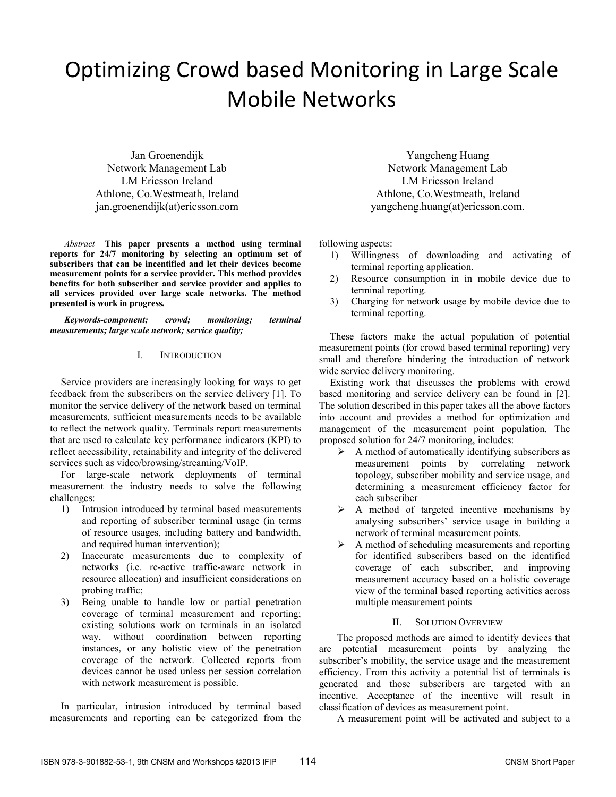# Optimizing Crowd based Monitoring in Large Scale Mobile Networks

Jan Groenendijk Network Management Lab LM Ericsson Ireland Athlone, Co.Westmeath, Ireland jan.groenendijk(at)ericsson.com

*Abstract*—**This paper presents a method using terminal reports for 24/7 monitoring by selecting an optimum set of subscribers that can be incentified and let their devices become measurement points for a service provider. This method provides benefits for both subscriber and service provider and applies to all services provided over large scale networks. The method presented is work in progress.** 

*Keywords-component; crowd; monitoring; terminal measurements; large scale network; service quality;* 

# I. INTRODUCTION

Service providers are increasingly looking for ways to get feedback from the subscribers on the service delivery [1]. To monitor the service delivery of the network based on terminal measurements, sufficient measurements needs to be available to reflect the network quality. Terminals report measurements that are used to calculate key performance indicators (KPI) to reflect accessibility, retainability and integrity of the delivered services such as video/browsing/streaming/VoIP.

For large-scale network deployments of terminal measurement the industry needs to solve the following challenges:

- 1) Intrusion introduced by terminal based measurements and reporting of subscriber terminal usage (in terms of resource usages, including battery and bandwidth, and required human intervention);
- 2) Inaccurate measurements due to complexity of networks (i.e. re-active traffic-aware network in resource allocation) and insufficient considerations on probing traffic;
- 3) Being unable to handle low or partial penetration coverage of terminal measurement and reporting; existing solutions work on terminals in an isolated way, without coordination between reporting instances, or any holistic view of the penetration coverage of the network. Collected reports from devices cannot be used unless per session correlation with network measurement is possible.

In particular, intrusion introduced by terminal based measurements and reporting can be categorized from the

Yangcheng Huang Network Management Lab LM Ericsson Ireland Athlone, Co.Westmeath, Ireland yangcheng.huang(at)ericsson.com.

following aspects:

- 1) Willingness of downloading and activating of terminal reporting application.
- 2) Resource consumption in in mobile device due to terminal reporting.
- 3) Charging for network usage by mobile device due to terminal reporting.

These factors make the actual population of potential measurement points (for crowd based terminal reporting) very small and therefore hindering the introduction of network wide service delivery monitoring.

Existing work that discusses the problems with crowd based monitoring and service delivery can be found in [2]. The solution described in this paper takes all the above factors into account and provides a method for optimization and management of the measurement point population. The proposed solution for 24/7 monitoring, includes:

- $\triangleright$  A method of automatically identifying subscribers as measurement points by correlating network topology, subscriber mobility and service usage, and determining a measurement efficiency factor for each subscriber
- $\triangleright$  A method of targeted incentive mechanisms by analysing subscribers' service usage in building a network of terminal measurement points.
- $\triangleright$  A method of scheduling measurements and reporting for identified subscribers based on the identified coverage of each subscriber, and improving measurement accuracy based on a holistic coverage view of the terminal based reporting activities across multiple measurement points

# II. SOLUTION OVERVIEW

The proposed methods are aimed to identify devices that are potential measurement points by analyzing the subscriber's mobility, the service usage and the measurement efficiency. From this activity a potential list of terminals is generated and those subscribers are targeted with an incentive. Acceptance of the incentive will result in classification of devices as measurement point.

A measurement point will be activated and subject to a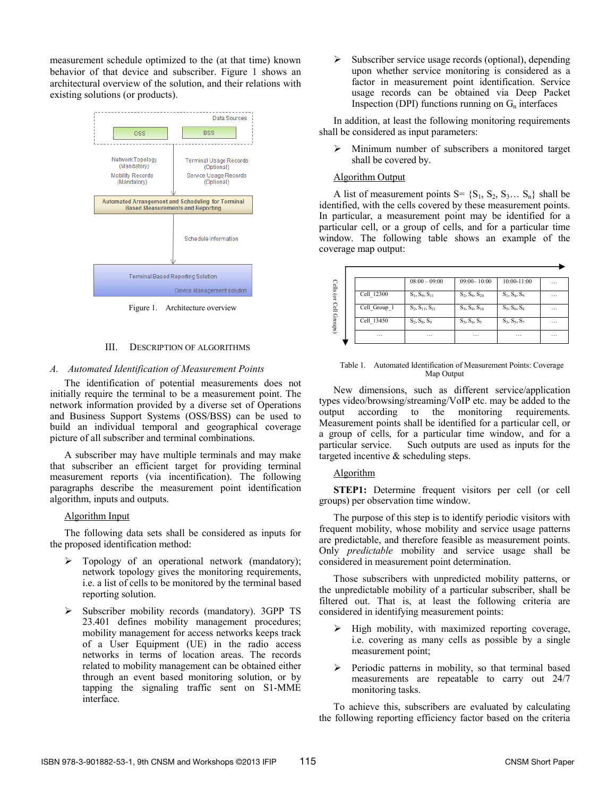measurement schedule optimized to the (at that time) known behavior of that device and subscriber. Figure 1 shows an architectural overview of the solution, and their relations with existing solutions (or products).



Figure 1. Architecture overview

## III. DESCRIPTION OF ALGORITHMS

## *A. Automated Identification of Measurement Points*

The identification of potential measurements does not initially require the terminal to be a measurement point. The network information provided by a diverse set of Operations and Business Support Systems (OSS/BSS) can be used to build an individual temporal and geographical coverage picture of all subscriber and terminal combinations.

A subscriber may have multiple terminals and may make that subscriber an efficient target for providing terminal measurement reports (via incentification). The following paragraphs describe the measurement point identification algorithm, inputs and outputs.

## Algorithm Input

The following data sets shall be considered as inputs for the proposed identification method:

- ¾ Topology of an operational network (mandatory); network topology gives the monitoring requirements, i.e. a list of cells to be monitored by the terminal based reporting solution.
- Subscriber mobility records (mandatory). 3GPP TS 23.401 defines mobility management procedures; mobility management for access networks keeps track of a User Equipment (UE) in the radio access networks in terms of location areas. The records related to mobility management can be obtained either through an event based monitoring solution, or by tapping the signaling traffic sent on S1-MME interface.

 $\triangleright$  Subscriber service usage records (optional), depending upon whether service monitoring is considered as a factor in measurement point identification. Service usage records can be obtained via Deep Packet Inspection (DPI) functions running on  $G_n$  interfaces

In addition, at least the following monitoring requirements shall be considered as input parameters:

 $\triangleright$  Minimum number of subscribers a monitored target shall be covered by.

## Algorithm Output

A list of measurement points  $S = \{S_1, S_2, S_3, \ldots, S_n\}$  shall be identified, with the cells covered by these measurement points. In particular, a measurement point may be identified for a particular cell, or a group of cells, and for a particular time window. The following table shows an example of the coverage map output:

|              | $08:00 - 09:00$       | $09:00 - 10:00$    | $10:00 - 11:00$ | $\cdots$ |
|--------------|-----------------------|--------------------|-----------------|----------|
| Cell 12300   | $S_1, S_9, S_{11}$    | $S_2, S_9, S_{20}$ | $S_1, S_4, S_9$ | $\cdots$ |
| Cell_Group_1 | $S_2, S_{11}, S_{21}$ | $S_3, S_4, S_{10}$ | $S_5, S_6, S_8$ | $\cdots$ |
| Cell 13450   | $S_2, S_8, S_9$       | $S_3, S_4, S_5$    | $S_3, S_5, S_7$ | $\cdots$ |
| $\cdots$     | $\cdots$              | $\cdots$           | $\cdots$        | $\cdots$ |

Table 1. Automated Identification of Measurement Points: Coverage Map Output

New dimensions, such as different service/application types video/browsing/streaming/VoIP etc. may be added to the output according to the monitoring requirements. Measurement points shall be identified for a particular cell, or a group of cells, for a particular time window, and for a particular service. Such outputs are used as inputs for the targeted incentive & scheduling steps. The most constrained the minimization of the same of the criteria constrained  $\frac{2}{\sqrt{3}}$  and  $\frac{2}{\sqrt{3}}$  and  $\frac{2}{\sqrt{3}}$  and  $\frac{2}{\sqrt{3}}$  and  $\frac{2}{\sqrt{3}}$  and  $\frac{2}{\sqrt{3}}$  and  $\frac{2}{\sqrt{3}}$  and  $\frac{2}{\sqrt{3}}$  and  $\frac{2}{\$ 

## Algorithm

**STEP1:** Determine frequent visitors per cell (or cell groups) per observation time window.

The purpose of this step is to identify periodic visitors with frequent mobility, whose mobility and service usage patterns are predictable, and therefore feasible as measurement points. Only *predictable* mobility and service usage shall be considered in measurement point determination.

Those subscribers with unpredicted mobility patterns, or the unpredictable mobility of a particular subscriber, shall be filtered out. That is, at least the following criteria are considered in identifying measurement points:

- ¾ High mobility, with maximized reporting coverage, i.e. covering as many cells as possible by a single measurement point;
- $\triangleright$  Periodic patterns in mobility, so that terminal based measurements are repeatable to carry out 24/7 monitoring tasks.

To achieve this, subscribers are evaluated by calculating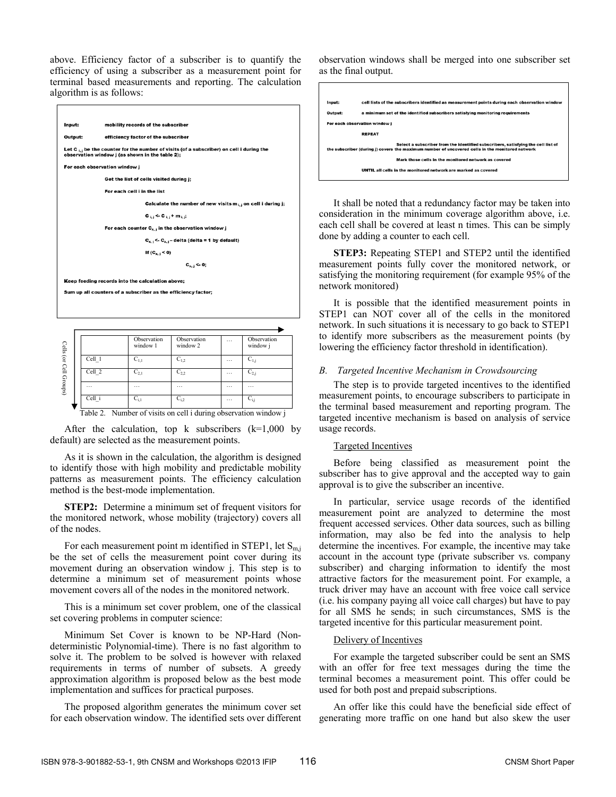above. Efficiency factor of a subscriber is to quantify the efficiency of using a subscriber as a measurement point for terminal based measurements and reporting. The calculation algorithm is as follows:

| Input:                                                        | mobility records of the subscriber                                                                                                                    |  |  |  |  |
|---------------------------------------------------------------|-------------------------------------------------------------------------------------------------------------------------------------------------------|--|--|--|--|
| Output:                                                       | efficiency factor of the subscriber                                                                                                                   |  |  |  |  |
|                                                               | Let C <sub>it</sub> be the counter for the number of visits (of a subscriber) on cell i during the<br>observation window j (as shown in the table 2); |  |  |  |  |
|                                                               | For each observation window j                                                                                                                         |  |  |  |  |
| Get the list of cells visited during j;                       |                                                                                                                                                       |  |  |  |  |
|                                                               | For each cell i in the list                                                                                                                           |  |  |  |  |
|                                                               | Calculate the number of new visits $m_{i,j}$ on cell i during j;                                                                                      |  |  |  |  |
|                                                               | $c_{i,j}$ < $c_{i,j}$ + $m_{i,j}$ ;                                                                                                                   |  |  |  |  |
|                                                               | For each counter $C_{x,i}$ in the observation window j                                                                                                |  |  |  |  |
|                                                               | $C_{x,i}$ <- $C_{x,i}$ – delta (delta = 1 by default)                                                                                                 |  |  |  |  |
|                                                               | If $(C_{x,1} < 0)$                                                                                                                                    |  |  |  |  |
|                                                               | $C_{x,1}$ <- 0;                                                                                                                                       |  |  |  |  |
|                                                               | Keep feeding records into the calculation above;                                                                                                      |  |  |  |  |
| Sum up all counters of a subscriber as the efficiency factor; |                                                                                                                                                       |  |  |  |  |
|                                                               |                                                                                                                                                       |  |  |  |  |
|                                                               |                                                                                                                                                       |  |  |  |  |

| Cells (or Cell Groups) |                                                                 | Observation<br>window 1 | Observation<br>window 2 | $\ddotsc$ | Observation<br>window i |  |
|------------------------|-----------------------------------------------------------------|-------------------------|-------------------------|-----------|-------------------------|--|
|                        | Cell 1                                                          | $C_{1,1}$               | $C_{1,2}$               | $\cdots$  | $C_{1,i}$               |  |
|                        | Cell 2                                                          | $C_{2.1}$               | $C_{2,2}$               | $\cdots$  | $C_{2,j}$               |  |
|                        | $\cdots$                                                        | .                       | $\cdot$ $\cdot$ $\cdot$ | $\cdot$   | $\cdot$                 |  |
|                        | Cell i                                                          | $C_{i,1}$               | $C_{i,2}$               | $\cdots$  | $C_{i,i}$               |  |
|                        | Table 2. Number of visits on cell i during observation window j |                         |                         |           |                         |  |

After the calculation, top  $k$  subscribers ( $k=1,000$  by default) are selected as the measurement points.

As it is shown in the calculation, the algorithm is designed to identify those with high mobility and predictable mobility patterns as measurement points. The efficiency calculation method is the best-mode implementation.

**STEP2:** Determine a minimum set of frequent visitors for the monitored network, whose mobility (trajectory) covers all of the nodes.

For each measurement point m identified in STEP1, let  $S<sub>m,i</sub>$ be the set of cells the measurement point cover during its movement during an observation window j. This step is to determine a minimum set of measurement points whose movement covers all of the nodes in the monitored network.

This is a minimum set cover problem, one of the classical set covering problems in computer science:

Minimum Set Cover is known to be NP-Hard (Nondeterministic Polynomial-time). There is no fast algorithm to solve it. The problem to be solved is however with relaxed requirements in terms of number of subsets. A greedy approximation algorithm is proposed below as the best mode implementation and suffices for practical purposes.

The proposed algorithm generates the minimum cover set for each observation window. The identified sets over different

observation windows shall be merged into one subscriber set as the final output.



It shall be noted that a redundancy factor may be taken into consideration in the minimum coverage algorithm above, i.e. each cell shall be covered at least n times. This can be simply done by adding a counter to each cell.

**STEP3:** Repeating STEP1 and STEP2 until the identified measurement points fully cover the monitored network, or satisfying the monitoring requirement (for example 95% of the network monitored)

It is possible that the identified measurement points in STEP1 can NOT cover all of the cells in the monitored network. In such situations it is necessary to go back to STEP1 to identify more subscribers as the measurement points (by lowering the efficiency factor threshold in identification).

# *B. Targeted Incentive Mechanism in Crowdsourcing*

The step is to provide targeted incentives to the identified measurement points, to encourage subscribers to participate in the terminal based measurement and reporting program. The targeted incentive mechanism is based on analysis of service usage records.

# Targeted Incentives

Before being classified as measurement point the subscriber has to give approval and the accepted way to gain approval is to give the subscriber an incentive.

In particular, service usage records of the identified measurement point are analyzed to determine the most frequent accessed services. Other data sources, such as billing information, may also be fed into the analysis to help determine the incentives. For example, the incentive may take account in the account type (private subscriber vs. company subscriber) and charging information to identify the most attractive factors for the measurement point. For example, a truck driver may have an account with free voice call service (i.e. his company paying all voice call charges) but have to pay for all SMS he sends; in such circumstances, SMS is the targeted incentive for this particular measurement point.

# Delivery of Incentives

For example the targeted subscriber could be sent an SMS with an offer for free text messages during the time the terminal becomes a measurement point. This offer could be used for both post and prepaid subscriptions.

An offer like this could have the beneficial side effect of generating more traffic on one hand but also skew the user